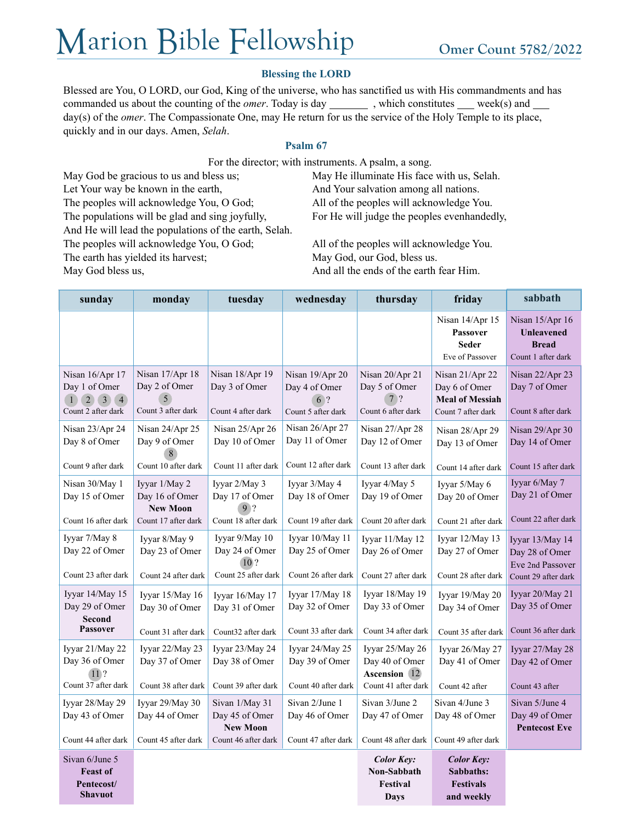# Marion Bible Fellowship omer Count 5782/2022

### **Blessing the LORD**

Blessed are You, O LORD, our God, King of the universe, who has sanctified us with His commandments and has commanded us about the counting of the *omer*. Today is day \_\_\_\_\_\_\_\_\_, which constitutes \_\_\_\_ week(s) and \_\_\_\_ day(s) of the *omer*. The Compassionate One, may He return for us the service of the Holy Temple to its place, quickly and in our days. Amen, *Selah*.

#### **Psalm 67**

For the director; with instruments. A psalm, a song.

May God be gracious to us and bless us; May He illuminate His face with us, Selah. Let Your way be known in the earth, And Your salvation among all nations. The peoples will acknowledge You, O God; All of the peoples will acknowledge You. The populations will be glad and sing joyfully, For He will judge the peoples evenhandedly, And He will lead the populations of the earth, Selah. The peoples will acknowledge You, O God; All of the peoples will acknowledge You. The earth has yielded its harvest; May God, our God, bless us. May God bless us, And all the ends of the earth fear Him.

| sunday                                                                | monday                                                                    | tuesday                                                                    | wednesday                                                    | thursday                                                                 | friday                                                                           | sabbath                                                                      |
|-----------------------------------------------------------------------|---------------------------------------------------------------------------|----------------------------------------------------------------------------|--------------------------------------------------------------|--------------------------------------------------------------------------|----------------------------------------------------------------------------------|------------------------------------------------------------------------------|
|                                                                       |                                                                           |                                                                            |                                                              |                                                                          | Nisan 14/Apr 15<br>Passover<br><b>Seder</b><br>Eve of Passover                   | Nisan 15/Apr 16<br><b>Unleavened</b><br><b>Bread</b><br>Count 1 after dark   |
| Nisan 16/Apr 17<br>Day 1 of Omer<br>$1234$<br>Count 2 after dark      | Nisan 17/Apr 18<br>Day 2 of Omer<br>5<br>Count 3 after dark               | Nisan 18/Apr 19<br>Day 3 of Omer<br>Count 4 after dark                     | Nisan 19/Apr 20<br>Day 4 of Omer<br>6?<br>Count 5 after dark | Nisan 20/Apr 21<br>Day 5 of Omer<br>7.2<br>Count 6 after dark            | Nisan 21/Apr 22<br>Day 6 of Omer<br><b>Meal of Messiah</b><br>Count 7 after dark | Nisan 22/Apr 23<br>Day 7 of Omer<br>Count 8 after dark                       |
| Nisan 23/Apr 24<br>Day 8 of Omer<br>Count 9 after dark                | Nisan 24/Apr 25<br>Day 9 of Omer<br>Count 10 after dark                   | Nisan 25/Apr 26<br>Day 10 of Omer<br>Count 11 after dark                   | Nisan 26/Apr 27<br>Day 11 of Omer<br>Count 12 after dark     | Nisan 27/Apr 28<br>Day 12 of Omer<br>Count 13 after dark                 | Nisan 28/Apr 29<br>Day 13 of Omer<br>Count 14 after dark                         | Nisan 29/Apr 30<br>Day 14 of Omer<br>Count 15 after dark                     |
| Nisan 30/May 1<br>Day 15 of Omer<br>Count 16 after dark               | Iyyar 1/May 2<br>Day 16 of Omer<br><b>New Moon</b><br>Count 17 after dark | Iyyar 2/May 3<br>Day 17 of Omer<br>9 <sup>2</sup><br>Count 18 after dark   | Iyyar 3/May 4<br>Day 18 of Omer<br>Count 19 after dark       | Iyyar 4/May 5<br>Day 19 of Omer<br>Count 20 after dark                   | Iyyar 5/May 6<br>Day 20 of Omer<br>Count 21 after dark                           | Iyyar 6/May 7<br>Day 21 of Omer<br>Count 22 after dark                       |
| Iyyar 7/May 8<br>Day 22 of Omer<br>Count 23 after dark                | Iyyar 8/May 9<br>Day 23 of Omer<br>Count 24 after dark                    | Iyyar 9/May 10<br>Day 24 of Omer<br>10 <sup>2</sup><br>Count 25 after dark | Iyyar 10/May 11<br>Day 25 of Omer<br>Count 26 after dark     | Iyyar 11/May 12<br>Day 26 of Omer<br>Count 27 after dark                 | Iyyar 12/May 13<br>Day 27 of Omer<br>Count 28 after dark                         | Iyyar 13/May 14<br>Day 28 of Omer<br>Eve 2nd Passover<br>Count 29 after dark |
| Iyyar 14/May 15<br>Day 29 of Omer<br><b>Second</b><br><b>Passover</b> | Iyyar 15/May 16<br>Day 30 of Omer<br>Count 31 after dark                  | Iyyar 16/May 17<br>Day 31 of Omer<br>Count32 after dark                    | Iyyar 17/May 18<br>Day 32 of Omer<br>Count 33 after dark     | Iyyar 18/May 19<br>Day 33 of Omer<br>Count 34 after dark                 | Iyyar 19/May 20<br>Day 34 of Omer<br>Count 35 after dark                         | Iyyar 20/May 21<br>Day 35 of Omer<br>Count 36 after dark                     |
| Iyyar 21/May 22<br>Day 36 of Omer<br>$11$ ?<br>Count 37 after dark    | Iyyar 22/May 23<br>Day 37 of Omer<br>Count 38 after dark                  | Iyyar 23/May 24<br>Day 38 of Omer<br>Count 39 after dark                   | Iyyar 24/May 25<br>Day 39 of Omer<br>Count 40 after dark     | Iyyar 25/May 26<br>Day 40 of Omer<br>Ascension 12<br>Count 41 after dark | Iyyar 26/May 27<br>Day 41 of Omer<br>Count 42 after                              | Iyyar 27/May 28<br>Day 42 of Omer<br>Count 43 after                          |
| Iyyar 28/May 29<br>Day 43 of Omer<br>Count 44 after dark              | Iyyar 29/May 30<br>Day 44 of Omer<br>Count 45 after dark                  | Sivan 1/May 31<br>Day 45 of Omer<br><b>New Moon</b><br>Count 46 after dark | Sivan 2/June 1<br>Day 46 of Omer<br>Count 47 after dark      | Sivan 3/June 2<br>Day 47 of Omer<br>Count 48 after dark                  | Sivan 4/June 3<br>Day 48 of Omer<br>Count 49 after dark                          | Sivan 5/June 4<br>Day 49 of Omer<br><b>Pentecost Eve</b>                     |
| Sivan 6/June 5<br><b>Feast of</b><br>Pentecost/<br><b>Shavuot</b>     |                                                                           |                                                                            |                                                              | <b>Color Key:</b><br>Non-Sabbath<br>Festival<br>Days                     | <b>Color Key:</b><br>Sabbaths:<br><b>Festivals</b><br>and weekly                 |                                                                              |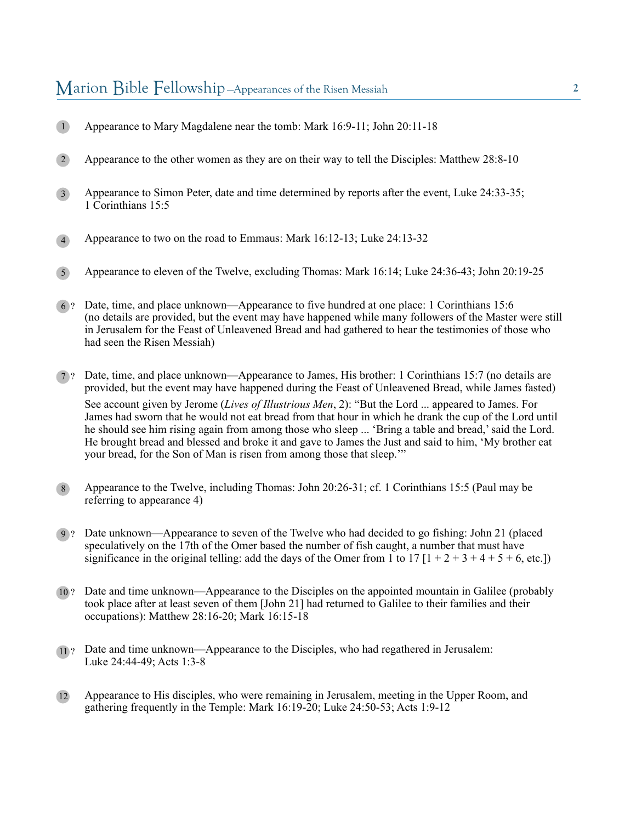## Marion Bible Fellowship —Appearances of the Risen Messiah **<sup>2</sup>**

- Appearance to Mary Magdalene near the tomb: Mark 16:9-11; John 20:11-18 1
- Appearance to the other women as they are on their way to tell the Disciples: Matthew 28:8-10 2
- Appearance to Simon Peter, date and time determined by reports after the event, Luke 24:33-35; 1 Corinthians 15:5 3
- Appearance to two on the road to Emmaus: Mark 16:12-13; Luke 24:13-32 4
- Appearance to eleven of the Twelve, excluding Thomas: Mark 16:14; Luke 24:36-43; John 20:19-25 5
- Date, time, and place unknown—Appearance to five hundred at one place: 1 Corinthians 15:6 6 ? (no details are provided, but the event may have happened while many followers of the Master were still in Jerusalem for the Feast of Unleavened Bread and had gathered to hear the testimonies of those who had seen the Risen Messiah)
- 7 ? Date, time, and place unknown—Appearance to James, His brother: 1 Corinthians 15:7 (no details are provided, but the event may have happened during the Feast of Unleavened Bread, while James fasted) See account given by Jerome (*Lives of Illustrious Men*, 2): "But the Lord ... appeared to James. For James had sworn that he would not eat bread from that hour in which he drank the cup of the Lord until he should see him rising again from among those who sleep ... 'Bring a table and bread,' said the Lord. He brought bread and blessed and broke it and gave to James the Just and said to him, 'My brother eat your bread, for the Son of Man is risen from among those that sleep.'"
- Appearance to the Twelve, including Thomas: John 20:26-31; cf. 1 Corinthians 15:5 (Paul may be referring to appearance 4) 8
- 9 ? Date unknown—Appearance to seven of the Twelve who had decided to go fishing: John 21 (placed speculatively on the 17th of the Omer based the number of fish caught, a number that must have significance in the original telling: add the days of the Omer from 1 to 17  $[1 + 2 + 3 + 4 + 5 + 6]$ , etc.]
- 10 ? Date and time unknown—Appearance to the Disciples on the appointed mountain in Galilee (probably took place after at least seven of them [John 21] had returned to Galilee to their families and their occupations): Matthew 28:16-20; Mark 16:15-18
- 11 ? Date and time unknown—Appearance to the Disciples, who had regathered in Jerusalem: Luke 24:44-49; Acts 1:3-8
- Appearance to His disciples, who were remaining in Jerusalem, meeting in the Upper Room, and gathering frequently in the Temple: Mark 16:19-20; Luke 24:50-53; Acts 1:9-12 12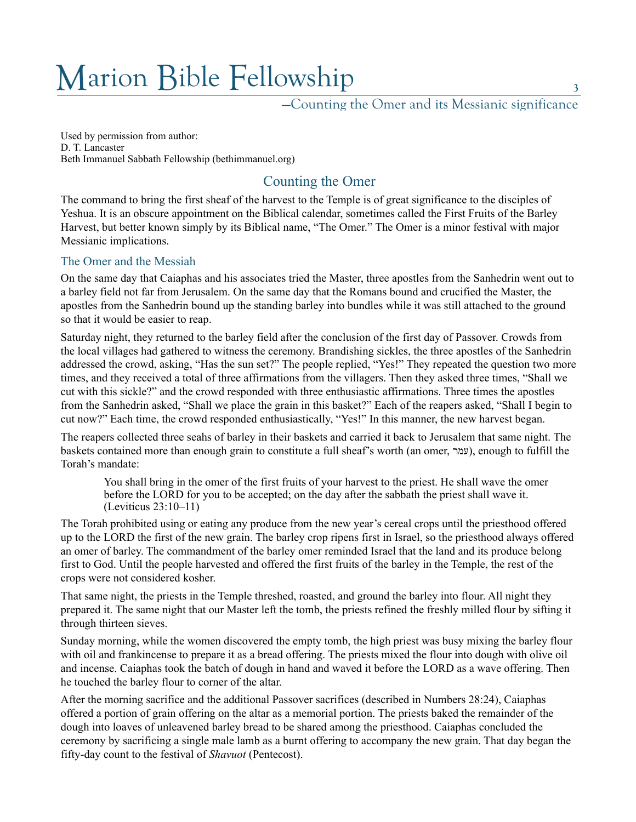# Marion Bible Fellowship

—Counting the Omer and its Messianic significance

Used by permission from author: D. T. Lancaster Beth Immanuel Sabbath Fellowship (bethimmanuel.org)

# Counting the Omer

The command to bring the first sheaf of the harvest to the Temple is of great significance to the disciples of Yeshua. It is an obscure appointment on the Biblical calendar, sometimes called the First Fruits of the Barley Harvest, but better known simply by its Biblical name, "The Omer." The Omer is a minor festival with major Messianic implications.

## The Omer and the Messiah

On the same day that Caiaphas and his associates tried the Master, three apostles from the Sanhedrin went out to a barley field not far from Jerusalem. On the same day that the Romans bound and crucified the Master, the apostles from the Sanhedrin bound up the standing barley into bundles while it was still attached to the ground so that it would be easier to reap.

Saturday night, they returned to the barley field after the conclusion of the first day of Passover. Crowds from the local villages had gathered to witness the ceremony. Brandishing sickles, the three apostles of the Sanhedrin addressed the crowd, asking, "Has the sun set?" The people replied, "Yes!" They repeated the question two more times, and they received a total of three affirmations from the villagers. Then they asked three times, "Shall we cut with this sickle?" and the crowd responded with three enthusiastic affirmations. Three times the apostles from the Sanhedrin asked, "Shall we place the grain in this basket?" Each of the reapers asked, "Shall I begin to cut now?" Each time, the crowd responded enthusiastically, "Yes!" In this manner, the new harvest began.

The reapers collected three seahs of barley in their baskets and carried it back to Jerusalem that same night. The baskets contained more than enough grain to constitute a full sheaf's worth (an omer, עמר), enough to fulfill the Torah's mandate:

You shall bring in the omer of the first fruits of your harvest to the priest. He shall wave the omer before the LORD for you to be accepted; on the day after the sabbath the priest shall wave it. (Leviticus 23:10–11)

The Torah prohibited using or eating any produce from the new year's cereal crops until the priesthood offered up to the LORD the first of the new grain. The barley crop ripens first in Israel, so the priesthood always offered an omer of barley. The commandment of the barley omer reminded Israel that the land and its produce belong first to God. Until the people harvested and offered the first fruits of the barley in the Temple, the rest of the crops were not considered kosher.

That same night, the priests in the Temple threshed, roasted, and ground the barley into flour. All night they prepared it. The same night that our Master left the tomb, the priests refined the freshly milled flour by sifting it through thirteen sieves.

Sunday morning, while the women discovered the empty tomb, the high priest was busy mixing the barley flour with oil and frankincense to prepare it as a bread offering. The priests mixed the flour into dough with olive oil and incense. Caiaphas took the batch of dough in hand and waved it before the LORD as a wave offering. Then he touched the barley flour to corner of the altar.

After the morning sacrifice and the additional Passover sacrifices (described in Numbers 28:24), Caiaphas offered a portion of grain offering on the altar as a memorial portion. The priests baked the remainder of the dough into loaves of unleavened barley bread to be shared among the priesthood. Caiaphas concluded the ceremony by sacrificing a single male lamb as a burnt offering to accompany the new grain. That day began the fifty-day count to the festival of *Shavuot* (Pentecost).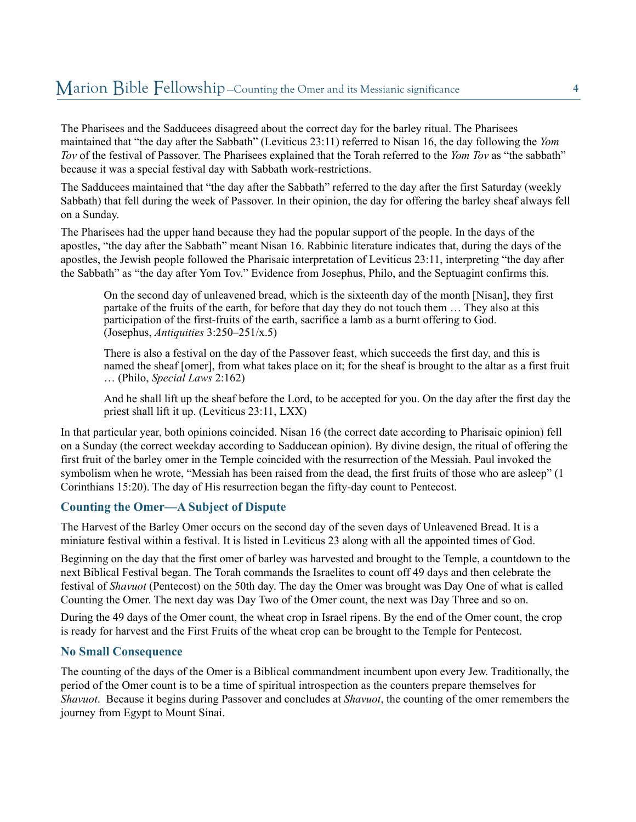## Marion Bible Fellowship —Counting the Omer and its Messianic significance **<sup>4</sup>**

The Pharisees and the Sadducees disagreed about the correct day for the barley ritual. The Pharisees maintained that "the day after the Sabbath" (Leviticus 23:11) referred to Nisan 16, the day following the *Yom Tov* of the festival of Passover. The Pharisees explained that the Torah referred to the *Yom Tov* as "the sabbath" because it was a special festival day with Sabbath work-restrictions.

The Sadducees maintained that "the day after the Sabbath" referred to the day after the first Saturday (weekly Sabbath) that fell during the week of Passover. In their opinion, the day for offering the barley sheaf always fell on a Sunday.

The Pharisees had the upper hand because they had the popular support of the people. In the days of the apostles, "the day after the Sabbath" meant Nisan 16. Rabbinic literature indicates that, during the days of the apostles, the Jewish people followed the Pharisaic interpretation of Leviticus 23:11, interpreting "the day after the Sabbath" as "the day after Yom Tov." Evidence from Josephus, Philo, and the Septuagint confirms this.

On the second day of unleavened bread, which is the sixteenth day of the month [Nisan], they first partake of the fruits of the earth, for before that day they do not touch them … They also at this participation of the first-fruits of the earth, sacrifice a lamb as a burnt offering to God. (Josephus, *Antiquities* 3:250–251/x.5)

There is also a festival on the day of the Passover feast, which succeeds the first day, and this is named the sheaf [omer], from what takes place on it; for the sheaf is brought to the altar as a first fruit … (Philo, *Special Laws* 2:162)

And he shall lift up the sheaf before the Lord, to be accepted for you. On the day after the first day the priest shall lift it up. (Leviticus 23:11, LXX)

In that particular year, both opinions coincided. Nisan 16 (the correct date according to Pharisaic opinion) fell on a Sunday (the correct weekday according to Sadducean opinion). By divine design, the ritual of offering the first fruit of the barley omer in the Temple coincided with the resurrection of the Messiah. Paul invoked the symbolism when he wrote, "Messiah has been raised from the dead, the first fruits of those who are asleep" (1 Corinthians 15:20). The day of His resurrection began the fifty-day count to Pentecost.

#### **Counting the Omer—A Subject of Dispute**

The Harvest of the Barley Omer occurs on the second day of the seven days of Unleavened Bread. It is a miniature festival within a festival. It is listed in Leviticus 23 along with all the appointed times of God.

Beginning on the day that the first omer of barley was harvested and brought to the Temple, a countdown to the next Biblical Festival began. The Torah commands the Israelites to count off 49 days and then celebrate the festival of *Shavuot* (Pentecost) on the 50th day. The day the Omer was brought was Day One of what is called Counting the Omer. The next day was Day Two of the Omer count, the next was Day Three and so on.

During the 49 days of the Omer count, the wheat crop in Israel ripens. By the end of the Omer count, the crop is ready for harvest and the First Fruits of the wheat crop can be brought to the Temple for Pentecost.

#### **No Small Consequence**

The counting of the days of the Omer is a Biblical commandment incumbent upon every Jew. Traditionally, the period of the Omer count is to be a time of spiritual introspection as the counters prepare themselves for *Shavuot*. Because it begins during Passover and concludes at *Shavuot*, the counting of the omer remembers the journey from Egypt to Mount Sinai.